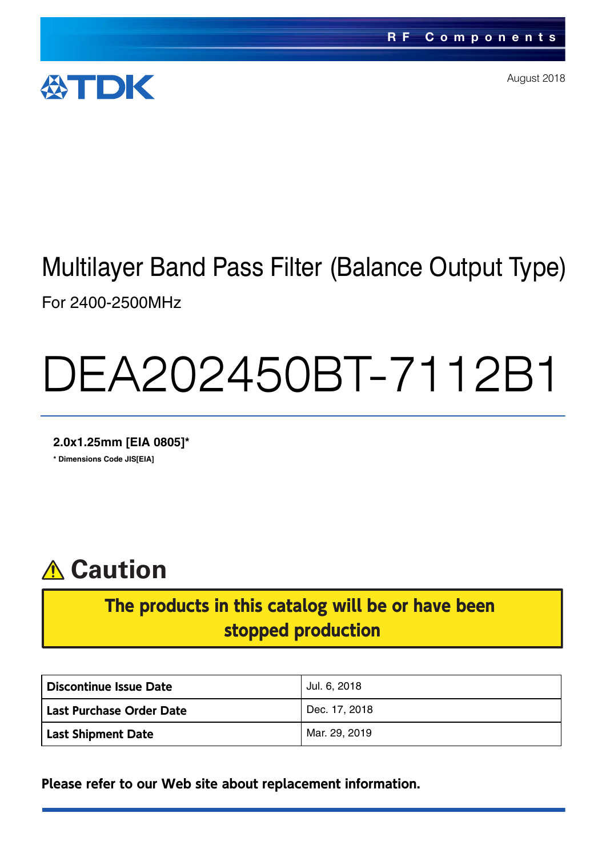

August 2018

# Multilayer Band Pass Filter (Balance Output Type) For 2400-2500MHz

# DEA202450BT-7112B1

**2.0x1.25mm [EIA 0805]\* \* Dimensions Code JIS[EIA]**



## The products in this catalog will be or have been stopped production

| Discontinue Issue Date          | Jul. 6, 2018  |  |  |
|---------------------------------|---------------|--|--|
| <b>Last Purchase Order Date</b> | Dec. 17, 2018 |  |  |
| <b>Last Shipment Date</b>       | Mar. 29, 2019 |  |  |

**Please refer to our Web site about replacement information.**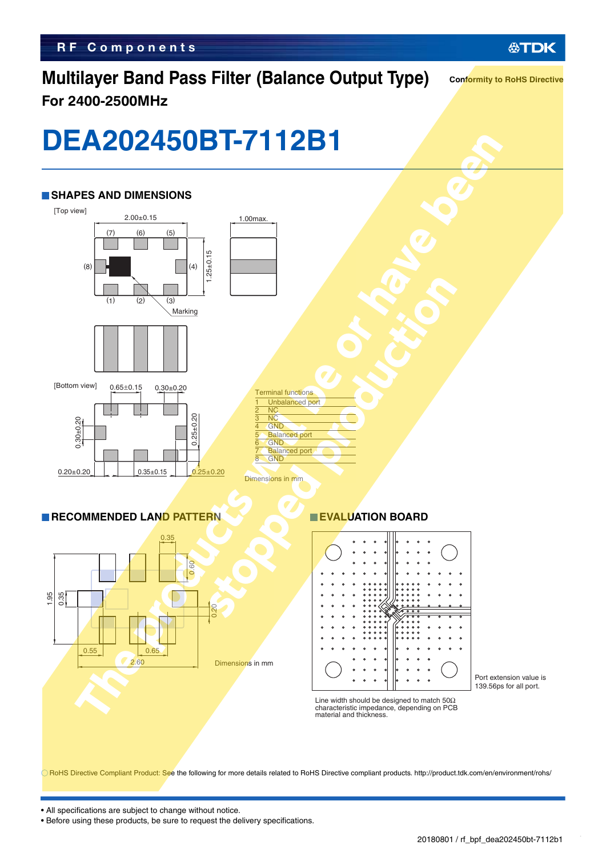## **Multilayer Band Pass Filter (Balance Output Type) For 2400-2500MHz**

**Conformity to RoHS Directive**

# **DEA202450BT-7112B1**



RoHS Directive Compliant Product: See the following for more details related to RoHS Directive compliant products. http://product.tdk.com/en/environment/rohs/

• All specifications are subject to change without notice.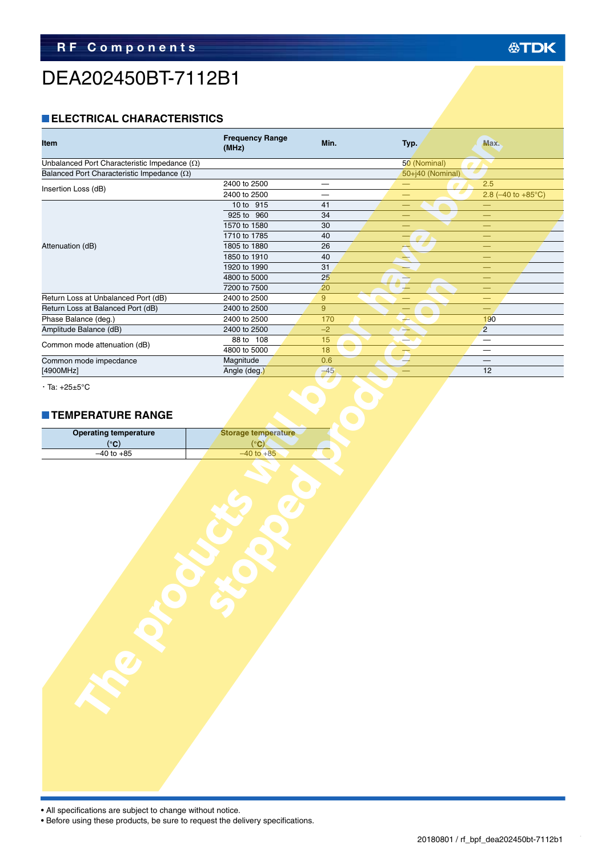# DEA202450BT-7112B1

## **ELECTRICAL CHARACTERISTICS**

| Item                                                | <b>Frequency Range</b><br>(MHz) | Min.<br>Typ. |                          | Max.                                        |
|-----------------------------------------------------|---------------------------------|--------------|--------------------------|---------------------------------------------|
| Unbalanced Port Characteristic Impedance $(\Omega)$ |                                 |              | 50 (Nominal)             |                                             |
| Balanced Port Characteristic Impedance $(\Omega)$   |                                 |              | 50+j40 (Nominal)         |                                             |
| Insertion Loss (dB)                                 | 2400 to 2500                    |              |                          | 2.5                                         |
|                                                     | 2400 to 2500                    | —            | —                        | 2.8 $(-40 \text{ to } +85^{\circ}\text{C})$ |
|                                                     | 10 to 915                       | 41           | $\overline{\phantom{0}}$ | $\qquad \qquad -$                           |
|                                                     | 925 to 960                      | 34           | $\overline{\phantom{0}}$ | $\overline{\phantom{0}}$                    |
|                                                     | 1570 to 1580                    | 30           |                          |                                             |
|                                                     | 1710 to 1785                    | 40           |                          | $\overline{\phantom{0}}$                    |
| Attenuation (dB)                                    | 1805 to 1880                    | 26           | $\overline{\phantom{a}}$ | $\overline{\phantom{0}}$                    |
|                                                     | 1850 to 1910                    | 40           | ∸                        | –                                           |
|                                                     | 1920 to 1990                    | 31           | -                        |                                             |
|                                                     | 4800 to 5000                    | 25           | $\rightarrow$            | $\qquad \qquad -$                           |
|                                                     | 7200 to 7500                    | 20           | ┷                        | -                                           |
| Return Loss at Unbalanced Port (dB)                 | 2400 to 2500                    | 9            |                          | -                                           |
| Return Loss at Balanced Port (dB)                   | 2400 to 2500                    | 9            |                          | $\overline{\phantom{0}}$                    |
| Phase Balance (deg.)                                | 2400 to 2500                    | 170          | ↛                        | 190                                         |
| Amplitude Balance (dB)                              | 2400 to 2500                    | $-2$         | ↬                        | $\overline{2}$                              |
| Common mode attenuation (dB)                        | $\overline{88}$ to 108          | 15           | $\overline{\phantom{0}}$ | $\qquad \qquad -$                           |
|                                                     | 4800 to 5000                    | 18           | $\overline{\phantom{a}}$ | $\qquad \qquad \longleftarrow$              |
| Common mode impecdance                              | Magnitude                       | 0.6          |                          |                                             |
| [4900MHz]                                           | Angle (deg.)                    | $-45$        |                          | 12                                          |
| <b>TEMPERATURE RANGE</b>                            |                                 |              |                          |                                             |
| <b>Operating temperature</b>                        | <b>Storage temperature</b>      |              |                          |                                             |
| $(^{\circ}C)$                                       | $(^{\circ}C)$                   |              |                          |                                             |
| $-40$ to $+85$                                      | $-40$ to $+85$                  |              |                          |                                             |
|                                                     |                                 |              |                          |                                             |

#### **TEMPERATURE RANGE**

| <b>Operating temperature</b><br><b>Storage temperature</b> |                |  |
|------------------------------------------------------------|----------------|--|
| (°C)                                                       | (°C)           |  |
| $-40$ to $+85$                                             | $-40$ to $+85$ |  |

• All specifications are subject to change without notice.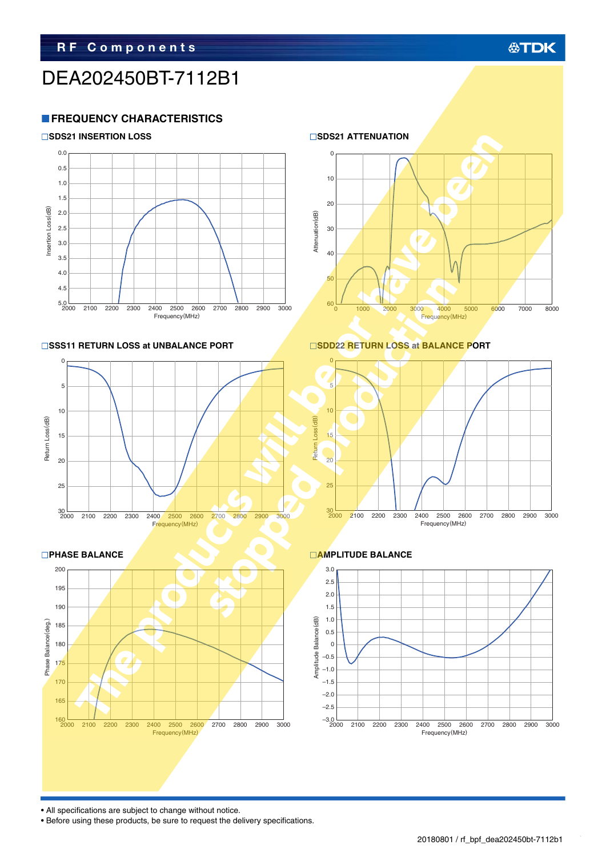## **公TDK**

## DEA202450BT-7112B1

## **FREQUENCY CHARACTERISTICS**











20

10

 $\Omega$ 

#### ■SSS11 RETURN LOSS at UNBALANCE PORT
■SDD22 RETURN LOSS at BALANCE PORT



600 <sup>1000</sup> 2000 3000 4000 5000 6000 7000 <sup>8000</sup>

Frequency(MHz)



• All specifications are subject to change without notice.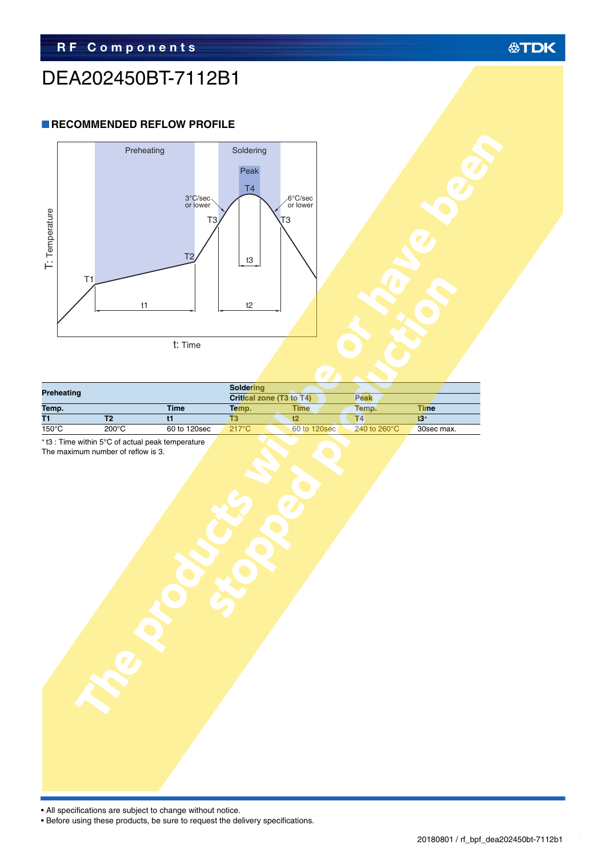## DEA202450BT-7112B1

### **RECOMMENDED REFLOW PROFILE**



| <b>Preheating</b> |                 |              | <b>Soldering</b>         |              |                         |            |
|-------------------|-----------------|--------------|--------------------------|--------------|-------------------------|------------|
|                   |                 |              | Critical zone (T3 to T4) |              | <b>Peak</b>             |            |
| Temp.             |                 | <b>Time</b>  | Temp.                    | <b>Time</b>  | Temp.                   | Time       |
| T1                |                 |              |                          |              | 14                      | t3*        |
| $150^{\circ}$ C   | $200^{\circ}$ C | 60 to 120sec | $217^{\circ}$ C          | 60 to 120sec | 240 to 260 $^{\circ}$ C | 30sec max. |

The maximum number of reflow is 3.



| I: lemperature      | T1        | Preheating<br>t1                  | $3^{\circ}$ C/sec<br>T <sub>3</sub><br>T <sub>2</sub><br>t: Time | Soldering<br>Peak<br>T4<br>$\ensuremath{\mathsf{t}}3$<br>t2 | 6°C/sec<br>or lower<br>T3      |                    |                                 |  |
|---------------------|-----------|-----------------------------------|------------------------------------------------------------------|-------------------------------------------------------------|--------------------------------|--------------------|---------------------------------|--|
|                     | reheating |                                   |                                                                  | Soldering<br>Critical zone (T3 to T4)                       |                                | Peak               |                                 |  |
| emp.                |           |                                   | <b>Time</b>                                                      | Temp.                                                       | <b>Time</b>                    | Temp.              | Time                            |  |
| 1<br>$50^{\circ}$ C |           | T2<br>$200^{\circ}$ C             | $\overline{t}$<br>60 to 120sec                                   | $\overline{13}$<br>$217^{\circ}$ C                          | $\overline{t}$<br>60 to 120sec | T4<br>240 to 260°C | $\overline{t3}^*$<br>30sec max. |  |
|                     |           | he maximum number of reflow is 3. |                                                                  |                                                             |                                |                    |                                 |  |

• All specifications are subject to change without notice.